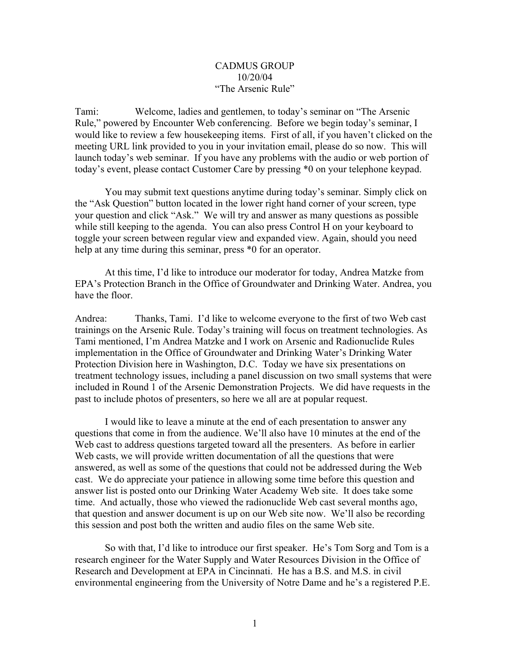## CADMUS GROUP 10/20/04 "The Arsenic Rule"

Tami: Welcome, ladies and gentlemen, to today's seminar on "The Arsenic Rule," powered by Encounter Web conferencing. Before we begin today's seminar, I would like to review a few housekeeping items. First of all, if you haven't clicked on the meeting URL link provided to you in your invitation email, please do so now. This will launch today's web seminar. If you have any problems with the audio or web portion of today's event, please contact Customer Care by pressing \*0 on your telephone keypad.

You may submit text questions anytime during today's seminar. Simply click on the "Ask Question" button located in the lower right hand corner of your screen, type your question and click "Ask." We will try and answer as many questions as possible while still keeping to the agenda. You can also press Control H on your keyboard to toggle your screen between regular view and expanded view. Again, should you need help at any time during this seminar, press  $*0$  for an operator.

At this time, I'd like to introduce our moderator for today, Andrea Matzke from EPA's Protection Branch in the Office of Groundwater and Drinking Water. Andrea, you have the floor.

Andrea: Thanks, Tami. I'd like to welcome everyone to the first of two Web cast trainings on the Arsenic Rule. Today's training will focus on treatment technologies. As Tami mentioned, I'm Andrea Matzke and I work on Arsenic and Radionuclide Rules implementation in the Office of Groundwater and Drinking Water's Drinking Water Protection Division here in Washington, D.C. Today we have six presentations on treatment technology issues, including a panel discussion on two small systems that were included in Round 1 of the Arsenic Demonstration Projects. We did have requests in the past to include photos of presenters, so here we all are at popular request.

I would like to leave a minute at the end of each presentation to answer any questions that come in from the audience. We'll also have 10 minutes at the end of the Web cast to address questions targeted toward all the presenters. As before in earlier Web casts, we will provide written documentation of all the questions that were answered, as well as some of the questions that could not be addressed during the Web cast. We do appreciate your patience in allowing some time before this question and answer list is posted onto our Drinking Water Academy Web site. It does take some time. And actually, those who viewed the radionuclide Web cast several months ago, that question and answer document is up on our Web site now. We'll also be recording this session and post both the written and audio files on the same Web site.

So with that, I'd like to introduce our first speaker. He's Tom Sorg and Tom is a research engineer for the Water Supply and Water Resources Division in the Office of Research and Development at EPA in Cincinnati. He has a B.S. and M.S. in civil environmental engineering from the University of Notre Dame and he's a registered P.E.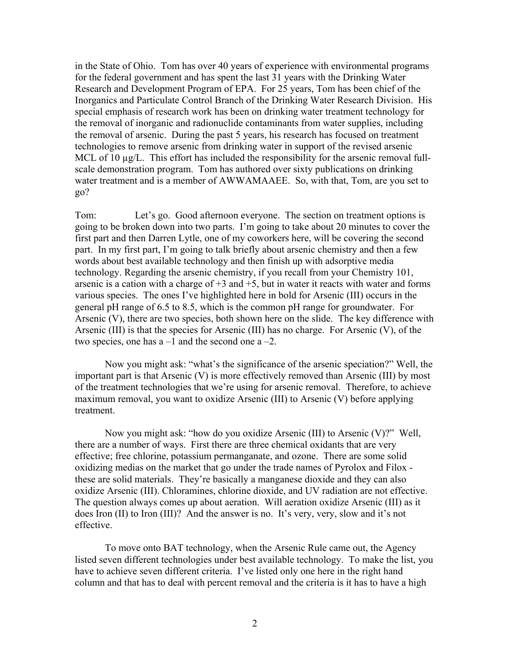in the State of Ohio. Tom has over 40 years of experience with environmental programs for the federal government and has spent the last 31 years with the Drinking Water Research and Development Program of EPA. For 25 years, Tom has been chief of the Inorganics and Particulate Control Branch of the Drinking Water Research Division. His special emphasis of research work has been on drinking water treatment technology for the removal of inorganic and radionuclide contaminants from water supplies, including the removal of arsenic. During the past 5 years, his research has focused on treatment technologies to remove arsenic from drinking water in support of the revised arsenic MCL of 10  $\mu$ g/L. This effort has included the responsibility for the arsenic removal fullscale demonstration program. Tom has authored over sixty publications on drinking water treatment and is a member of AWWAMAAEE. So, with that, Tom, are you set to go?

Tom: Let's go. Good afternoon everyone. The section on treatment options is going to be broken down into two parts. I'm going to take about 20 minutes to cover the first part and then Darren Lytle, one of my coworkers here, will be covering the second part. In my first part, I'm going to talk briefly about arsenic chemistry and then a few words about best available technology and then finish up with adsorptive media technology. Regarding the arsenic chemistry, if you recall from your Chemistry 101, arsenic is a cation with a charge of  $+3$  and  $+5$ , but in water it reacts with water and forms various species. The ones I've highlighted here in bold for Arsenic (III) occurs in the general pH range of 6.5 to 8.5, which is the common pH range for groundwater. For Arsenic (V), there are two species, both shown here on the slide. The key difference with Arsenic (III) is that the species for Arsenic (III) has no charge. For Arsenic (V), of the two species, one has  $a - 1$  and the second one  $a - 2$ .

Now you might ask: "what's the significance of the arsenic speciation?" Well, the important part is that Arsenic (V) is more effectively removed than Arsenic (III) by most of the treatment technologies that we're using for arsenic removal. Therefore, to achieve maximum removal, you want to oxidize Arsenic (III) to Arsenic (V) before applying treatment.

Now you might ask: "how do you oxidize Arsenic (III) to Arsenic (V)?" Well, there are a number of ways. First there are three chemical oxidants that are very effective; free chlorine, potassium permanganate, and ozone. There are some solid oxidizing medias on the market that go under the trade names of Pyrolox and Filox these are solid materials. They're basically a manganese dioxide and they can also oxidize Arsenic (III). Chloramines, chlorine dioxide, and UV radiation are not effective. The question always comes up about aeration. Will aeration oxidize Arsenic (III) as it does Iron (II) to Iron (III)? And the answer is no. It's very, very, slow and it's not effective.

To move onto BAT technology, when the Arsenic Rule came out, the Agency listed seven different technologies under best available technology. To make the list, you have to achieve seven different criteria. I've listed only one here in the right hand column and that has to deal with percent removal and the criteria is it has to have a high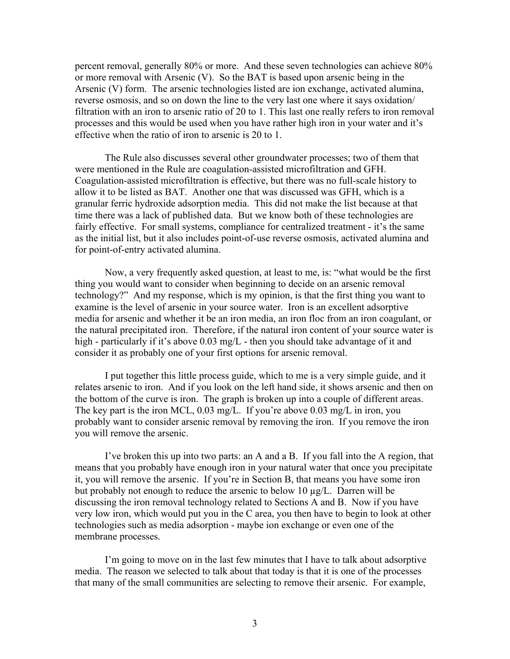percent removal, generally 80% or more. And these seven technologies can achieve 80% or more removal with Arsenic (V). So the BAT is based upon arsenic being in the Arsenic (V) form. The arsenic technologies listed are ion exchange, activated alumina, reverse osmosis, and so on down the line to the very last one where it says oxidation/ filtration with an iron to arsenic ratio of 20 to 1. This last one really refers to iron removal processes and this would be used when you have rather high iron in your water and it's effective when the ratio of iron to arsenic is 20 to 1.

The Rule also discusses several other groundwater processes; two of them that were mentioned in the Rule are coagulation-assisted microfiltration and GFH. Coagulation-assisted microfiltration is effective, but there was no full-scale history to allow it to be listed as BAT. Another one that was discussed was GFH, which is a granular ferric hydroxide adsorption media. This did not make the list because at that time there was a lack of published data. But we know both of these technologies are fairly effective. For small systems, compliance for centralized treatment - it's the same as the initial list, but it also includes point-of-use reverse osmosis, activated alumina and for point-of-entry activated alumina.

Now, a very frequently asked question, at least to me, is: "what would be the first thing you would want to consider when beginning to decide on an arsenic removal technology?" And my response, which is my opinion, is that the first thing you want to examine is the level of arsenic in your source water. Iron is an excellent adsorptive media for arsenic and whether it be an iron media, an iron floc from an iron coagulant, or the natural precipitated iron. Therefore, if the natural iron content of your source water is high - particularly if it's above 0.03 mg/L - then you should take advantage of it and consider it as probably one of your first options for arsenic removal.

I put together this little process guide, which to me is a very simple guide, and it relates arsenic to iron. And if you look on the left hand side, it shows arsenic and then on the bottom of the curve is iron. The graph is broken up into a couple of different areas. The key part is the iron MCL, 0.03 mg/L. If you're above 0.03 mg/L in iron, you probably want to consider arsenic removal by removing the iron. If you remove the iron you will remove the arsenic.

I've broken this up into two parts: an A and a B. If you fall into the A region, that means that you probably have enough iron in your natural water that once you precipitate it, you will remove the arsenic. If you're in Section B, that means you have some iron but probably not enough to reduce the arsenic to below 10 µg/L. Darren will be discussing the iron removal technology related to Sections A and B. Now if you have very low iron, which would put you in the C area, you then have to begin to look at other technologies such as media adsorption - maybe ion exchange or even one of the membrane processes.

I'm going to move on in the last few minutes that I have to talk about adsorptive media. The reason we selected to talk about that today is that it is one of the processes that many of the small communities are selecting to remove their arsenic. For example,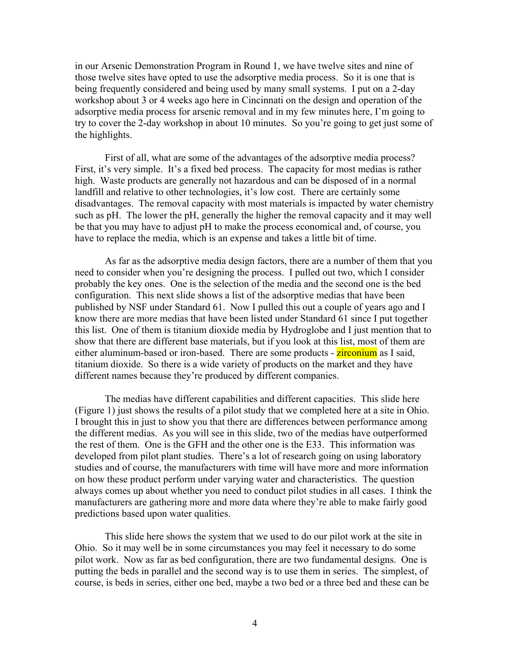in our Arsenic Demonstration Program in Round 1, we have twelve sites and nine of those twelve sites have opted to use the adsorptive media process. So it is one that is being frequently considered and being used by many small systems. I put on a 2-day workshop about 3 or 4 weeks ago here in Cincinnati on the design and operation of the adsorptive media process for arsenic removal and in my few minutes here, I'm going to try to cover the 2-day workshop in about 10 minutes. So you're going to get just some of the highlights.

First of all, what are some of the advantages of the adsorptive media process? First, it's very simple. It's a fixed bed process. The capacity for most medias is rather high. Waste products are generally not hazardous and can be disposed of in a normal landfill and relative to other technologies, it's low cost. There are certainly some disadvantages. The removal capacity with most materials is impacted by water chemistry such as pH. The lower the pH, generally the higher the removal capacity and it may well be that you may have to adjust pH to make the process economical and, of course, you have to replace the media, which is an expense and takes a little bit of time.

As far as the adsorptive media design factors, there are a number of them that you need to consider when you're designing the process. I pulled out two, which I consider probably the key ones. One is the selection of the media and the second one is the bed configuration. This next slide shows a list of the adsorptive medias that have been published by NSF under Standard 61. Now I pulled this out a couple of years ago and I know there are more medias that have been listed under Standard 61 since I put together this list. One of them is titanium dioxide media by Hydroglobe and I just mention that to show that there are different base materials, but if you look at this list, most of them are either aluminum-based or iron-based. There are some products - **zirconium** as I said, titanium dioxide. So there is a wide variety of products on the market and they have different names because they're produced by different companies.

The medias have different capabilities and different capacities. This slide here (Figure 1) just shows the results of a pilot study that we completed here at a site in Ohio. I brought this in just to show you that there are differences between performance among the different medias. As you will see in this slide, two of the medias have outperformed the rest of them. One is the GFH and the other one is the E33. This information was developed from pilot plant studies. There's a lot of research going on using laboratory studies and of course, the manufacturers with time will have more and more information on how these product perform under varying water and characteristics. The question always comes up about whether you need to conduct pilot studies in all cases. I think the manufacturers are gathering more and more data where they're able to make fairly good predictions based upon water qualities.

This slide here shows the system that we used to do our pilot work at the site in Ohio. So it may well be in some circumstances you may feel it necessary to do some pilot work. Now as far as bed configuration, there are two fundamental designs. One is putting the beds in parallel and the second way is to use them in series. The simplest, of course, is beds in series, either one bed, maybe a two bed or a three bed and these can be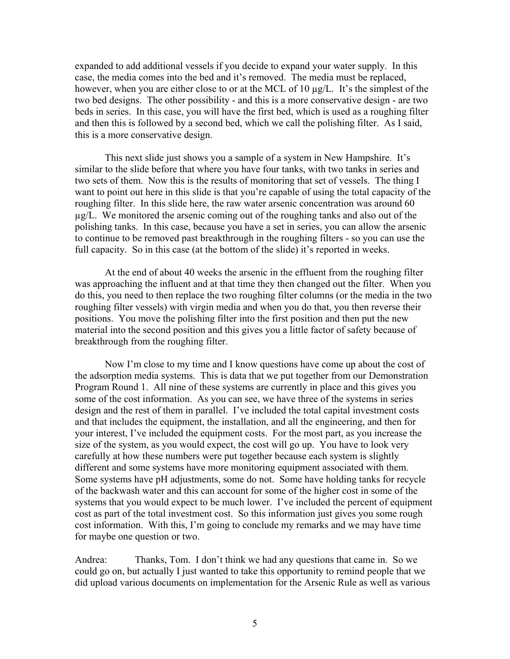expanded to add additional vessels if you decide to expand your water supply. In this case, the media comes into the bed and it's removed. The media must be replaced, however, when you are either close to or at the MCL of 10  $\mu$ g/L. It's the simplest of the two bed designs. The other possibility - and this is a more conservative design - are two beds in series. In this case, you will have the first bed, which is used as a roughing filter and then this is followed by a second bed, which we call the polishing filter. As I said, this is a more conservative design.

This next slide just shows you a sample of a system in New Hampshire. It's similar to the slide before that where you have four tanks, with two tanks in series and two sets of them. Now this is the results of monitoring that set of vessels. The thing I want to point out here in this slide is that you're capable of using the total capacity of the roughing filter. In this slide here, the raw water arsenic concentration was around 60 µg/L. We monitored the arsenic coming out of the roughing tanks and also out of the polishing tanks. In this case, because you have a set in series, you can allow the arsenic to continue to be removed past breakthrough in the roughing filters - so you can use the full capacity. So in this case (at the bottom of the slide) it's reported in weeks.

At the end of about 40 weeks the arsenic in the effluent from the roughing filter was approaching the influent and at that time they then changed out the filter. When you do this, you need to then replace the two roughing filter columns (or the media in the two roughing filter vessels) with virgin media and when you do that, you then reverse their positions. You move the polishing filter into the first position and then put the new material into the second position and this gives you a little factor of safety because of breakthrough from the roughing filter.

Now I'm close to my time and I know questions have come up about the cost of the adsorption media systems. This is data that we put together from our Demonstration Program Round 1. All nine of these systems are currently in place and this gives you some of the cost information. As you can see, we have three of the systems in series design and the rest of them in parallel. I've included the total capital investment costs and that includes the equipment, the installation, and all the engineering, and then for your interest, I've included the equipment costs. For the most part, as you increase the size of the system, as you would expect, the cost will go up. You have to look very carefully at how these numbers were put together because each system is slightly different and some systems have more monitoring equipment associated with them. Some systems have pH adjustments, some do not. Some have holding tanks for recycle of the backwash water and this can account for some of the higher cost in some of the systems that you would expect to be much lower. I've included the percent of equipment cost as part of the total investment cost. So this information just gives you some rough cost information. With this, I'm going to conclude my remarks and we may have time for maybe one question or two.

Andrea: Thanks, Tom. I don't think we had any questions that came in. So we could go on, but actually I just wanted to take this opportunity to remind people that we did upload various documents on implementation for the Arsenic Rule as well as various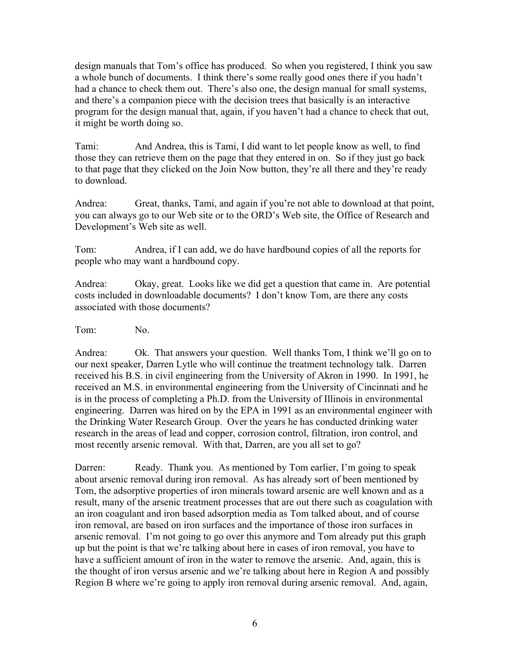design manuals that Tom's office has produced. So when you registered, I think you saw a whole bunch of documents. I think there's some really good ones there if you hadn't had a chance to check them out. There's also one, the design manual for small systems, and there's a companion piece with the decision trees that basically is an interactive program for the design manual that, again, if you haven't had a chance to check that out, it might be worth doing so.

Tami: And Andrea, this is Tami, I did want to let people know as well, to find those they can retrieve them on the page that they entered in on. So if they just go back to that page that they clicked on the Join Now button, they're all there and they're ready to download.

Andrea: Great, thanks, Tami, and again if you're not able to download at that point, you can always go to our Web site or to the ORD's Web site, the Office of Research and Development's Web site as well.

Tom: Andrea, if I can add, we do have hardbound copies of all the reports for people who may want a hardbound copy.

Andrea: Okay, great. Looks like we did get a question that came in. Are potential costs included in downloadable documents? I don't know Tom, are there any costs associated with those documents?

Tom: No.

Andrea: Ok. That answers your question. Well thanks Tom, I think we'll go on to our next speaker, Darren Lytle who will continue the treatment technology talk. Darren received his B.S. in civil engineering from the University of Akron in 1990. In 1991, he received an M.S. in environmental engineering from the University of Cincinnati and he is in the process of completing a Ph.D. from the University of Illinois in environmental engineering. Darren was hired on by the EPA in 1991 as an environmental engineer with the Drinking Water Research Group. Over the years he has conducted drinking water research in the areas of lead and copper, corrosion control, filtration, iron control, and most recently arsenic removal. With that, Darren, are you all set to go?

Darren: Ready. Thank you. As mentioned by Tom earlier, I'm going to speak about arsenic removal during iron removal. As has already sort of been mentioned by Tom, the adsorptive properties of iron minerals toward arsenic are well known and as a result, many of the arsenic treatment processes that are out there such as coagulation with an iron coagulant and iron based adsorption media as Tom talked about, and of course iron removal, are based on iron surfaces and the importance of those iron surfaces in arsenic removal. I'm not going to go over this anymore and Tom already put this graph up but the point is that we're talking about here in cases of iron removal, you have to have a sufficient amount of iron in the water to remove the arsenic. And, again, this is the thought of iron versus arsenic and we're talking about here in Region A and possibly Region B where we're going to apply iron removal during arsenic removal. And, again,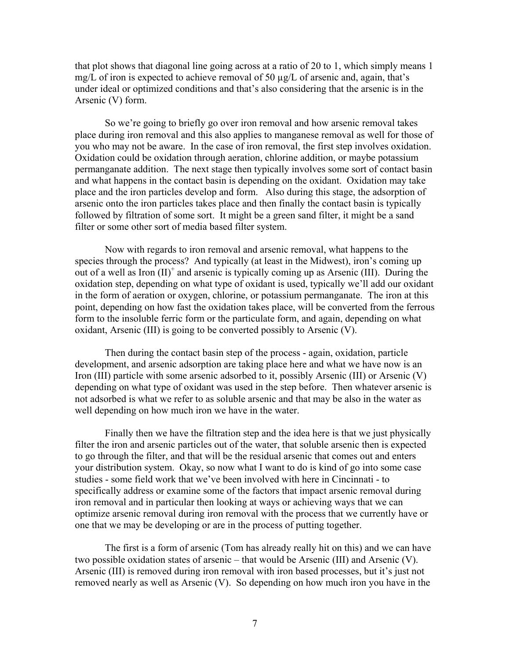that plot shows that diagonal line going across at a ratio of 20 to 1, which simply means 1 mg/L of iron is expected to achieve removal of 50  $\mu$ g/L of arsenic and, again, that's under ideal or optimized conditions and that's also considering that the arsenic is in the Arsenic (V) form.

So we're going to briefly go over iron removal and how arsenic removal takes place during iron removal and this also applies to manganese removal as well for those of you who may not be aware. In the case of iron removal, the first step involves oxidation. Oxidation could be oxidation through aeration, chlorine addition, or maybe potassium permanganate addition. The next stage then typically involves some sort of contact basin and what happens in the contact basin is depending on the oxidant. Oxidation may take place and the iron particles develop and form. Also during this stage, the adsorption of arsenic onto the iron particles takes place and then finally the contact basin is typically followed by filtration of some sort. It might be a green sand filter, it might be a sand filter or some other sort of media based filter system.

Now with regards to iron removal and arsenic removal, what happens to the species through the process? And typically (at least in the Midwest), iron's coming up out of a well as Iron  $(II)^+$  and arsenic is typically coming up as Arsenic (III). During the oxidation step, depending on what type of oxidant is used, typically we'll add our oxidant in the form of aeration or oxygen, chlorine, or potassium permanganate. The iron at this point, depending on how fast the oxidation takes place, will be converted from the ferrous form to the insoluble ferric form or the particulate form, and again, depending on what oxidant, Arsenic (III) is going to be converted possibly to Arsenic (V).

Then during the contact basin step of the process - again, oxidation, particle development, and arsenic adsorption are taking place here and what we have now is an Iron (III) particle with some arsenic adsorbed to it, possibly Arsenic (III) or Arsenic (V) depending on what type of oxidant was used in the step before. Then whatever arsenic is not adsorbed is what we refer to as soluble arsenic and that may be also in the water as well depending on how much iron we have in the water.

Finally then we have the filtration step and the idea here is that we just physically filter the iron and arsenic particles out of the water, that soluble arsenic then is expected to go through the filter, and that will be the residual arsenic that comes out and enters your distribution system. Okay, so now what I want to do is kind of go into some case studies - some field work that we've been involved with here in Cincinnati - to specifically address or examine some of the factors that impact arsenic removal during iron removal and in particular then looking at ways or achieving ways that we can optimize arsenic removal during iron removal with the process that we currently have or one that we may be developing or are in the process of putting together.

The first is a form of arsenic (Tom has already really hit on this) and we can have two possible oxidation states of arsenic – that would be Arsenic (III) and Arsenic (V). Arsenic (III) is removed during iron removal with iron based processes, but it's just not removed nearly as well as Arsenic (V). So depending on how much iron you have in the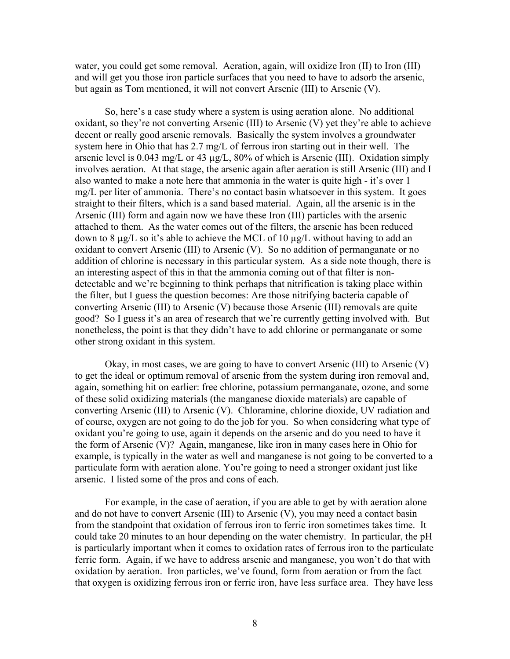water, you could get some removal. Aeration, again, will oxidize Iron (II) to Iron (III) and will get you those iron particle surfaces that you need to have to adsorb the arsenic, but again as Tom mentioned, it will not convert Arsenic (III) to Arsenic (V).

So, here's a case study where a system is using aeration alone. No additional oxidant, so they're not converting Arsenic (III) to Arsenic (V) yet they're able to achieve decent or really good arsenic removals. Basically the system involves a groundwater system here in Ohio that has 2.7 mg/L of ferrous iron starting out in their well. The arsenic level is 0.043 mg/L or 43 µg/L, 80% of which is Arsenic (III). Oxidation simply involves aeration. At that stage, the arsenic again after aeration is still Arsenic (III) and I also wanted to make a note here that ammonia in the water is quite high - it's over 1 mg/L per liter of ammonia. There's no contact basin whatsoever in this system. It goes straight to their filters, which is a sand based material. Again, all the arsenic is in the Arsenic (III) form and again now we have these Iron (III) particles with the arsenic attached to them. As the water comes out of the filters, the arsenic has been reduced down to 8 µg/L so it's able to achieve the MCL of 10 µg/L without having to add an oxidant to convert Arsenic (III) to Arsenic (V). So no addition of permanganate or no addition of chlorine is necessary in this particular system. As a side note though, there is an interesting aspect of this in that the ammonia coming out of that filter is nondetectable and we're beginning to think perhaps that nitrification is taking place within the filter, but I guess the question becomes: Are those nitrifying bacteria capable of converting Arsenic (III) to Arsenic (V) because those Arsenic (III) removals are quite good? So I guess it's an area of research that we're currently getting involved with. But nonetheless, the point is that they didn't have to add chlorine or permanganate or some other strong oxidant in this system.

Okay, in most cases, we are going to have to convert Arsenic (III) to Arsenic (V) to get the ideal or optimum removal of arsenic from the system during iron removal and, again, something hit on earlier: free chlorine, potassium permanganate, ozone, and some of these solid oxidizing materials (the manganese dioxide materials) are capable of converting Arsenic (III) to Arsenic (V). Chloramine, chlorine dioxide, UV radiation and of course, oxygen are not going to do the job for you. So when considering what type of oxidant you're going to use, again it depends on the arsenic and do you need to have it the form of Arsenic (V)? Again, manganese, like iron in many cases here in Ohio for example, is typically in the water as well and manganese is not going to be converted to a particulate form with aeration alone. You're going to need a stronger oxidant just like arsenic. I listed some of the pros and cons of each.

For example, in the case of aeration, if you are able to get by with aeration alone and do not have to convert Arsenic (III) to Arsenic (V), you may need a contact basin from the standpoint that oxidation of ferrous iron to ferric iron sometimes takes time. It could take 20 minutes to an hour depending on the water chemistry. In particular, the pH is particularly important when it comes to oxidation rates of ferrous iron to the particulate ferric form. Again, if we have to address arsenic and manganese, you won't do that with oxidation by aeration. Iron particles, we've found, form from aeration or from the fact that oxygen is oxidizing ferrous iron or ferric iron, have less surface area. They have less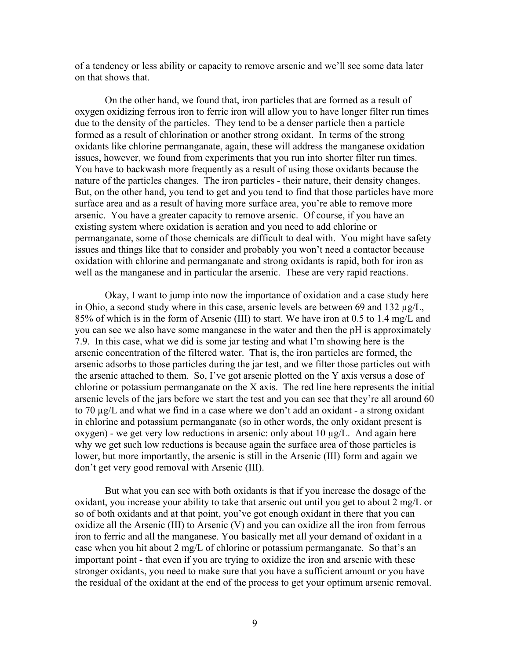of a tendency or less ability or capacity to remove arsenic and we'll see some data later on that shows that.

On the other hand, we found that, iron particles that are formed as a result of oxygen oxidizing ferrous iron to ferric iron will allow you to have longer filter run times due to the density of the particles. They tend to be a denser particle then a particle formed as a result of chlorination or another strong oxidant. In terms of the strong oxidants like chlorine permanganate, again, these will address the manganese oxidation issues, however, we found from experiments that you run into shorter filter run times. You have to backwash more frequently as a result of using those oxidants because the nature of the particles changes. The iron particles - their nature, their density changes. But, on the other hand, you tend to get and you tend to find that those particles have more surface area and as a result of having more surface area, you're able to remove more arsenic. You have a greater capacity to remove arsenic. Of course, if you have an existing system where oxidation is aeration and you need to add chlorine or permanganate, some of those chemicals are difficult to deal with. You might have safety issues and things like that to consider and probably you won't need a contactor because oxidation with chlorine and permanganate and strong oxidants is rapid, both for iron as well as the manganese and in particular the arsenic. These are very rapid reactions.

Okay, I want to jump into now the importance of oxidation and a case study here in Ohio, a second study where in this case, arsenic levels are between 69 and 132 µg/L, 85% of which is in the form of Arsenic (III) to start. We have iron at 0.5 to 1.4 mg/L and you can see we also have some manganese in the water and then the pH is approximately 7.9. In this case, what we did is some jar testing and what I'm showing here is the arsenic concentration of the filtered water. That is, the iron particles are formed, the arsenic adsorbs to those particles during the jar test, and we filter those particles out with the arsenic attached to them. So, I've got arsenic plotted on the Y axis versus a dose of chlorine or potassium permanganate on the X axis. The red line here represents the initial arsenic levels of the jars before we start the test and you can see that they're all around 60 to 70 µg/L and what we find in a case where we don't add an oxidant - a strong oxidant in chlorine and potassium permanganate (so in other words, the only oxidant present is  $oxygen$ ) - we get very low reductions in arsenic: only about 10  $\mu g/L$ . And again here why we get such low reductions is because again the surface area of those particles is lower, but more importantly, the arsenic is still in the Arsenic (III) form and again we don't get very good removal with Arsenic (III).

But what you can see with both oxidants is that if you increase the dosage of the oxidant, you increase your ability to take that arsenic out until you get to about 2 mg/L or so of both oxidants and at that point, you've got enough oxidant in there that you can oxidize all the Arsenic (III) to Arsenic (V) and you can oxidize all the iron from ferrous iron to ferric and all the manganese. You basically met all your demand of oxidant in a case when you hit about 2 mg/L of chlorine or potassium permanganate. So that's an important point - that even if you are trying to oxidize the iron and arsenic with these stronger oxidants, you need to make sure that you have a sufficient amount or you have the residual of the oxidant at the end of the process to get your optimum arsenic removal.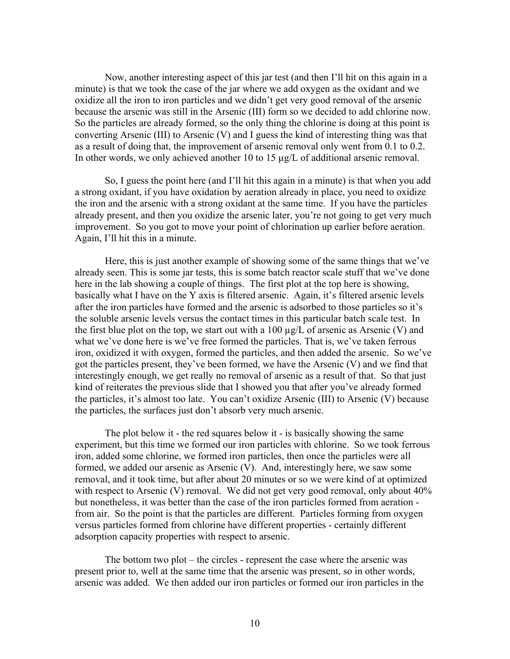Now, another interesting aspect of this jar test (and then I'll hit on this again in a minute) is that we took the case of the jar where we add oxygen as the oxidant and we oxidize all the iron to iron particles and we didn't get very good removal of the arsenic because the arsenic was still in the Arsenic (III) form so we decided to add chlorine now. So the particles are already formed, so the only thing the chlorine is doing at this point is converting Arsenic (III) to Arsenic (V) and I guess the kind of interesting thing was that as a result of doing that, the improvement of arsenic removal only went from 0.1 to 0.2. In other words, we only achieved another 10 to 15 µg/L of additional arsenic removal.

So, I guess the point here (and I'll hit this again in a minute) is that when you add a strong oxidant, if you have oxidation by aeration already in place, you need to oxidize the iron and the arsenic with a strong oxidant at the same time. If you have the particles already present, and then you oxidize the arsenic later, you're not going to get very much improvement. So you got to move your point of chlorination up earlier before aeration. Again, I'll hit this in a minute.

Here, this is just another example of showing some of the same things that we've already seen. This is some jar tests, this is some batch reactor scale stuff that we've done here in the lab showing a couple of things. The first plot at the top here is showing, basically what I have on the Y axis is filtered arsenic. Again, it's filtered arsenic levels after the iron particles have formed and the arsenic is adsorbed to those particles so it's the soluble arsenic levels versus the contact times in this particular batch scale test. In the first blue plot on the top, we start out with a 100  $\mu$ g/L of arsenic as Arsenic (V) and what we've done here is we've free formed the particles. That is, we've taken ferrous iron, oxidized it with oxygen, formed the particles, and then added the arsenic. So we've got the particles present, they've been formed, we have the Arsenic (V) and we find that interestingly enough, we get really no removal of arsenic as a result of that. So that just kind of reiterates the previous slide that I showed you that after you've already formed the particles, it's almost too late. You can't oxidize Arsenic (III) to Arsenic (V) because the particles, the surfaces just don't absorb very much arsenic.

The plot below it - the red squares below it - is basically showing the same experiment, but this time we formed our iron particles with chlorine. So we took ferrous iron, added some chlorine, we formed iron particles, then once the particles were all formed, we added our arsenic as Arsenic (V). And, interestingly here, we saw some removal, and it took time, but after about 20 minutes or so we were kind of at optimized with respect to Arsenic (V) removal. We did not get very good removal, only about 40% but nonetheless, it was better than the case of the iron particles formed from aeration from air. So the point is that the particles are different. Particles forming from oxygen versus particles formed from chlorine have different properties - certainly different adsorption capacity properties with respect to arsenic.

The bottom two plot – the circles - represent the case where the arsenic was present prior to, well at the same time that the arsenic was present, so in other words, arsenic was added. We then added our iron particles or formed our iron particles in the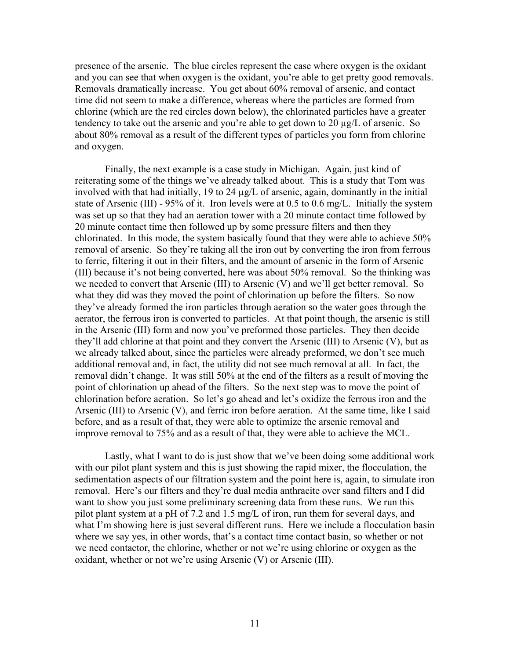presence of the arsenic. The blue circles represent the case where oxygen is the oxidant and you can see that when oxygen is the oxidant, you're able to get pretty good removals. Removals dramatically increase. You get about 60% removal of arsenic, and contact time did not seem to make a difference, whereas where the particles are formed from chlorine (which are the red circles down below), the chlorinated particles have a greater tendency to take out the arsenic and you're able to get down to 20 µg/L of arsenic. So about 80% removal as a result of the different types of particles you form from chlorine and oxygen.

Finally, the next example is a case study in Michigan. Again, just kind of reiterating some of the things we've already talked about. This is a study that Tom was involved with that had initially, 19 to 24 µg/L of arsenic, again, dominantly in the initial state of Arsenic (III) - 95% of it. Iron levels were at 0.5 to 0.6 mg/L. Initially the system was set up so that they had an aeration tower with a 20 minute contact time followed by 20 minute contact time then followed up by some pressure filters and then they chlorinated. In this mode, the system basically found that they were able to achieve 50% removal of arsenic. So they're taking all the iron out by converting the iron from ferrous to ferric, filtering it out in their filters, and the amount of arsenic in the form of Arsenic (III) because it's not being converted, here was about 50% removal. So the thinking was we needed to convert that Arsenic (III) to Arsenic (V) and we'll get better removal. So what they did was they moved the point of chlorination up before the filters. So now they've already formed the iron particles through aeration so the water goes through the aerator, the ferrous iron is converted to particles. At that point though, the arsenic is still in the Arsenic (III) form and now you've preformed those particles. They then decide they'll add chlorine at that point and they convert the Arsenic (III) to Arsenic (V), but as we already talked about, since the particles were already preformed, we don't see much additional removal and, in fact, the utility did not see much removal at all. In fact, the removal didn't change. It was still 50% at the end of the filters as a result of moving the point of chlorination up ahead of the filters. So the next step was to move the point of chlorination before aeration. So let's go ahead and let's oxidize the ferrous iron and the Arsenic (III) to Arsenic (V), and ferric iron before aeration. At the same time, like I said before, and as a result of that, they were able to optimize the arsenic removal and improve removal to 75% and as a result of that, they were able to achieve the MCL.

Lastly, what I want to do is just show that we've been doing some additional work with our pilot plant system and this is just showing the rapid mixer, the flocculation, the sedimentation aspects of our filtration system and the point here is, again, to simulate iron removal. Here's our filters and they're dual media anthracite over sand filters and I did want to show you just some preliminary screening data from these runs. We run this pilot plant system at a pH of 7.2 and 1.5 mg/L of iron, run them for several days, and what I'm showing here is just several different runs. Here we include a flocculation basin where we say yes, in other words, that's a contact time contact basin, so whether or not we need contactor, the chlorine, whether or not we're using chlorine or oxygen as the oxidant, whether or not we're using Arsenic (V) or Arsenic (III).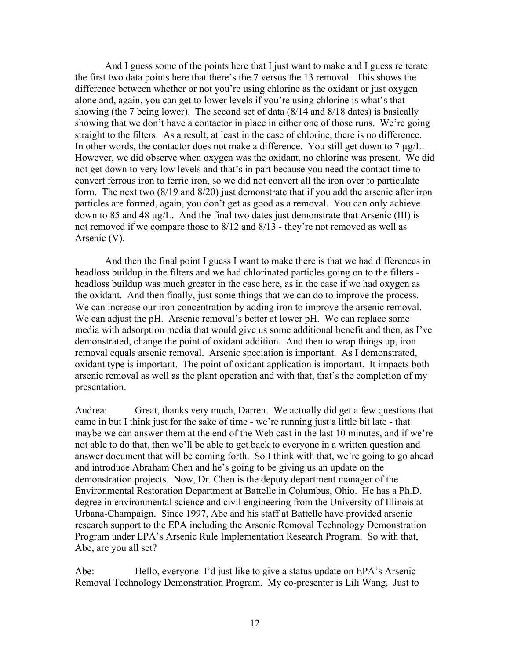And I guess some of the points here that I just want to make and I guess reiterate the first two data points here that there's the 7 versus the 13 removal. This shows the difference between whether or not you're using chlorine as the oxidant or just oxygen alone and, again, you can get to lower levels if you're using chlorine is what's that showing (the 7 being lower). The second set of data (8/14 and 8/18 dates) is basically showing that we don't have a contactor in place in either one of those runs. We're going straight to the filters. As a result, at least in the case of chlorine, there is no difference. In other words, the contactor does not make a difference. You still get down to  $7 \mu g/L$ . However, we did observe when oxygen was the oxidant, no chlorine was present. We did not get down to very low levels and that's in part because you need the contact time to convert ferrous iron to ferric iron, so we did not convert all the iron over to particulate form. The next two (8/19 and 8/20) just demonstrate that if you add the arsenic after iron particles are formed, again, you don't get as good as a removal. You can only achieve down to 85 and 48 µg/L. And the final two dates just demonstrate that Arsenic (III) is not removed if we compare those to 8/12 and 8/13 - they're not removed as well as Arsenic (V).

And then the final point I guess I want to make there is that we had differences in headloss buildup in the filters and we had chlorinated particles going on to the filters headloss buildup was much greater in the case here, as in the case if we had oxygen as the oxidant. And then finally, just some things that we can do to improve the process. We can increase our iron concentration by adding iron to improve the arsenic removal. We can adjust the pH. Arsenic removal's better at lower pH. We can replace some media with adsorption media that would give us some additional benefit and then, as I've demonstrated, change the point of oxidant addition. And then to wrap things up, iron removal equals arsenic removal. Arsenic speciation is important. As I demonstrated, oxidant type is important. The point of oxidant application is important. It impacts both arsenic removal as well as the plant operation and with that, that's the completion of my presentation.

Andrea: Great, thanks very much, Darren. We actually did get a few questions that came in but I think just for the sake of time - we're running just a little bit late - that maybe we can answer them at the end of the Web cast in the last 10 minutes, and if we're not able to do that, then we'll be able to get back to everyone in a written question and answer document that will be coming forth. So I think with that, we're going to go ahead and introduce Abraham Chen and he's going to be giving us an update on the demonstration projects. Now, Dr. Chen is the deputy department manager of the Environmental Restoration Department at Battelle in Columbus, Ohio. He has a Ph.D. degree in environmental science and civil engineering from the University of Illinois at Urbana-Champaign. Since 1997, Abe and his staff at Battelle have provided arsenic research support to the EPA including the Arsenic Removal Technology Demonstration Program under EPA's Arsenic Rule Implementation Research Program. So with that, Abe, are you all set?

Abe: Hello, everyone. I'd just like to give a status update on EPA's Arsenic Removal Technology Demonstration Program. My co-presenter is Lili Wang. Just to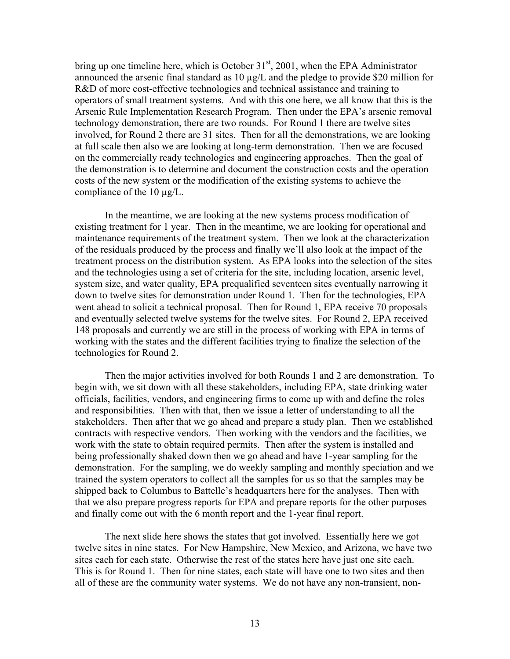bring up one timeline here, which is October  $31<sup>st</sup>$ , 2001, when the EPA Administrator announced the arsenic final standard as  $10 \mu g/L$  and the pledge to provide \$20 million for R&D of more cost-effective technologies and technical assistance and training to operators of small treatment systems. And with this one here, we all know that this is the Arsenic Rule Implementation Research Program. Then under the EPA's arsenic removal technology demonstration, there are two rounds. For Round 1 there are twelve sites involved, for Round 2 there are 31 sites. Then for all the demonstrations, we are looking at full scale then also we are looking at long-term demonstration. Then we are focused on the commercially ready technologies and engineering approaches. Then the goal of the demonstration is to determine and document the construction costs and the operation costs of the new system or the modification of the existing systems to achieve the compliance of the 10 µg/L.

In the meantime, we are looking at the new systems process modification of existing treatment for 1 year. Then in the meantime, we are looking for operational and maintenance requirements of the treatment system. Then we look at the characterization of the residuals produced by the process and finally we'll also look at the impact of the treatment process on the distribution system. As EPA looks into the selection of the sites and the technologies using a set of criteria for the site, including location, arsenic level, system size, and water quality, EPA prequalified seventeen sites eventually narrowing it down to twelve sites for demonstration under Round 1. Then for the technologies, EPA went ahead to solicit a technical proposal. Then for Round 1, EPA receive 70 proposals and eventually selected twelve systems for the twelve sites. For Round 2, EPA received 148 proposals and currently we are still in the process of working with EPA in terms of working with the states and the different facilities trying to finalize the selection of the technologies for Round 2.

Then the major activities involved for both Rounds 1 and 2 are demonstration. To begin with, we sit down with all these stakeholders, including EPA, state drinking water officials, facilities, vendors, and engineering firms to come up with and define the roles and responsibilities. Then with that, then we issue a letter of understanding to all the stakeholders. Then after that we go ahead and prepare a study plan. Then we established contracts with respective vendors. Then working with the vendors and the facilities, we work with the state to obtain required permits. Then after the system is installed and being professionally shaked down then we go ahead and have 1-year sampling for the demonstration. For the sampling, we do weekly sampling and monthly speciation and we trained the system operators to collect all the samples for us so that the samples may be shipped back to Columbus to Battelle's headquarters here for the analyses. Then with that we also prepare progress reports for EPA and prepare reports for the other purposes and finally come out with the 6 month report and the 1-year final report.

The next slide here shows the states that got involved. Essentially here we got twelve sites in nine states. For New Hampshire, New Mexico, and Arizona, we have two sites each for each state. Otherwise the rest of the states here have just one site each. This is for Round 1. Then for nine states, each state will have one to two sites and then all of these are the community water systems. We do not have any non-transient, non-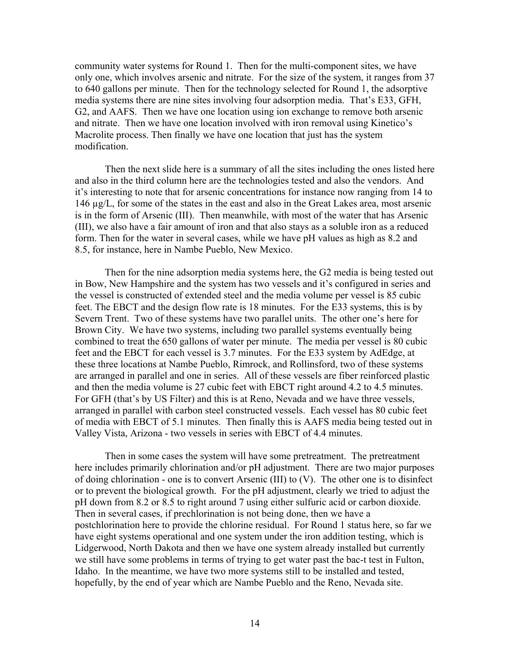community water systems for Round 1. Then for the multi-component sites, we have only one, which involves arsenic and nitrate. For the size of the system, it ranges from 37 to 640 gallons per minute. Then for the technology selected for Round 1, the adsorptive media systems there are nine sites involving four adsorption media. That's E33, GFH, G2, and AAFS. Then we have one location using ion exchange to remove both arsenic and nitrate. Then we have one location involved with iron removal using Kinetico's Macrolite process. Then finally we have one location that just has the system modification.

Then the next slide here is a summary of all the sites including the ones listed here and also in the third column here are the technologies tested and also the vendors. And it's interesting to note that for arsenic concentrations for instance now ranging from 14 to 146 µg/L, for some of the states in the east and also in the Great Lakes area, most arsenic is in the form of Arsenic (III). Then meanwhile, with most of the water that has Arsenic (III), we also have a fair amount of iron and that also stays as a soluble iron as a reduced form. Then for the water in several cases, while we have pH values as high as 8.2 and 8.5, for instance, here in Nambe Pueblo, New Mexico.

Then for the nine adsorption media systems here, the G2 media is being tested out in Bow, New Hampshire and the system has two vessels and it's configured in series and the vessel is constructed of extended steel and the media volume per vessel is 85 cubic feet. The EBCT and the design flow rate is 18 minutes. For the E33 systems, this is by Severn Trent. Two of these systems have two parallel units. The other one's here for Brown City. We have two systems, including two parallel systems eventually being combined to treat the 650 gallons of water per minute. The media per vessel is 80 cubic feet and the EBCT for each vessel is 3.7 minutes. For the E33 system by AdEdge, at these three locations at Nambe Pueblo, Rimrock, and Rollinsford, two of these systems are arranged in parallel and one in series. All of these vessels are fiber reinforced plastic and then the media volume is 27 cubic feet with EBCT right around 4.2 to 4.5 minutes. For GFH (that's by US Filter) and this is at Reno, Nevada and we have three vessels, arranged in parallel with carbon steel constructed vessels. Each vessel has 80 cubic feet of media with EBCT of 5.1 minutes. Then finally this is AAFS media being tested out in Valley Vista, Arizona - two vessels in series with EBCT of 4.4 minutes.

Then in some cases the system will have some pretreatment. The pretreatment here includes primarily chlorination and/or pH adjustment. There are two major purposes of doing chlorination - one is to convert Arsenic (III) to (V). The other one is to disinfect or to prevent the biological growth. For the pH adjustment, clearly we tried to adjust the pH down from 8.2 or 8.5 to right around 7 using either sulfuric acid or carbon dioxide. Then in several cases, if prechlorination is not being done, then we have a postchlorination here to provide the chlorine residual. For Round 1 status here, so far we have eight systems operational and one system under the iron addition testing, which is Lidgerwood, North Dakota and then we have one system already installed but currently we still have some problems in terms of trying to get water past the bac-t test in Fulton, Idaho. In the meantime, we have two more systems still to be installed and tested, hopefully, by the end of year which are Nambe Pueblo and the Reno, Nevada site.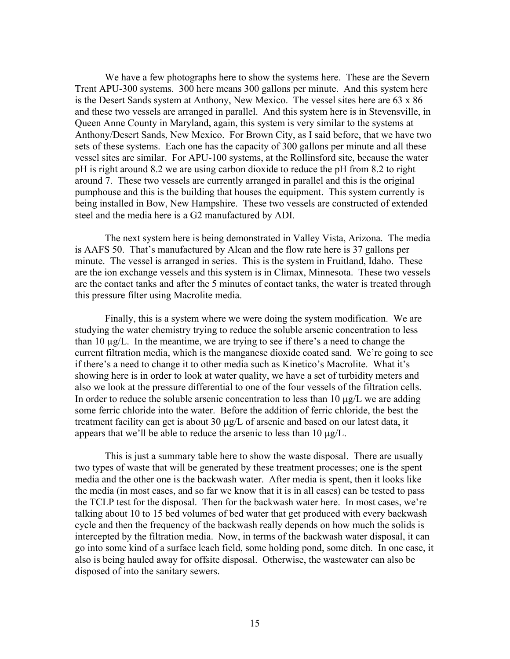We have a few photographs here to show the systems here. These are the Severn Trent APU-300 systems. 300 here means 300 gallons per minute. And this system here is the Desert Sands system at Anthony, New Mexico. The vessel sites here are 63 x 86 and these two vessels are arranged in parallel. And this system here is in Stevensville, in Queen Anne County in Maryland, again, this system is very similar to the systems at Anthony/Desert Sands, New Mexico. For Brown City, as I said before, that we have two sets of these systems. Each one has the capacity of 300 gallons per minute and all these vessel sites are similar. For APU-100 systems, at the Rollinsford site, because the water pH is right around 8.2 we are using carbon dioxide to reduce the pH from 8.2 to right around 7. These two vessels are currently arranged in parallel and this is the original pumphouse and this is the building that houses the equipment. This system currently is being installed in Bow, New Hampshire. These two vessels are constructed of extended steel and the media here is a G2 manufactured by ADI.

The next system here is being demonstrated in Valley Vista, Arizona. The media is AAFS 50. That's manufactured by Alcan and the flow rate here is 37 gallons per minute. The vessel is arranged in series. This is the system in Fruitland, Idaho. These are the ion exchange vessels and this system is in Climax, Minnesota. These two vessels are the contact tanks and after the 5 minutes of contact tanks, the water is treated through this pressure filter using Macrolite media.

Finally, this is a system where we were doing the system modification. We are studying the water chemistry trying to reduce the soluble arsenic concentration to less than 10 µg/L. In the meantime, we are trying to see if there's a need to change the current filtration media, which is the manganese dioxide coated sand. We're going to see if there's a need to change it to other media such as Kinetico's Macrolite. What it's showing here is in order to look at water quality, we have a set of turbidity meters and also we look at the pressure differential to one of the four vessels of the filtration cells. In order to reduce the soluble arsenic concentration to less than  $10 \mu g/L$  we are adding some ferric chloride into the water. Before the addition of ferric chloride, the best the treatment facility can get is about 30 µg/L of arsenic and based on our latest data, it appears that we'll be able to reduce the arsenic to less than 10  $\mu$ g/L.

This is just a summary table here to show the waste disposal. There are usually two types of waste that will be generated by these treatment processes; one is the spent media and the other one is the backwash water. After media is spent, then it looks like the media (in most cases, and so far we know that it is in all cases) can be tested to pass the TCLP test for the disposal. Then for the backwash water here. In most cases, we're talking about 10 to 15 bed volumes of bed water that get produced with every backwash cycle and then the frequency of the backwash really depends on how much the solids is intercepted by the filtration media. Now, in terms of the backwash water disposal, it can go into some kind of a surface leach field, some holding pond, some ditch. In one case, it also is being hauled away for offsite disposal. Otherwise, the wastewater can also be disposed of into the sanitary sewers.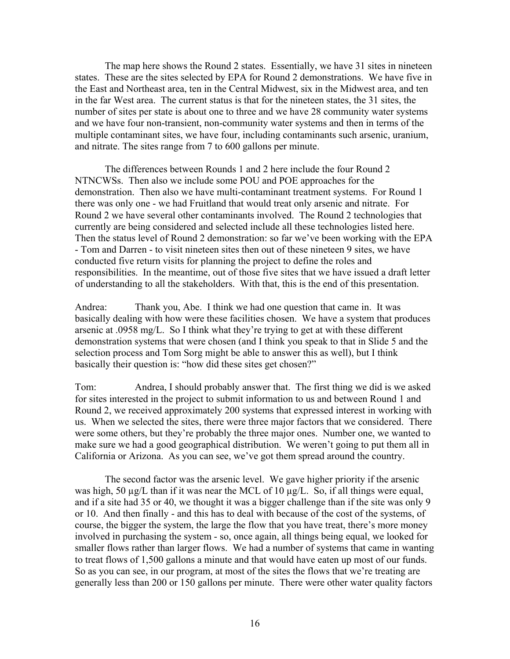The map here shows the Round 2 states. Essentially, we have 31 sites in nineteen states. These are the sites selected by EPA for Round 2 demonstrations. We have five in the East and Northeast area, ten in the Central Midwest, six in the Midwest area, and ten in the far West area. The current status is that for the nineteen states, the 31 sites, the number of sites per state is about one to three and we have 28 community water systems and we have four non-transient, non-community water systems and then in terms of the multiple contaminant sites, we have four, including contaminants such arsenic, uranium, and nitrate. The sites range from 7 to 600 gallons per minute.

The differences between Rounds 1 and 2 here include the four Round 2 NTNCWSs. Then also we include some POU and POE approaches for the demonstration. Then also we have multi-contaminant treatment systems. For Round 1 there was only one - we had Fruitland that would treat only arsenic and nitrate. For Round 2 we have several other contaminants involved. The Round 2 technologies that currently are being considered and selected include all these technologies listed here. Then the status level of Round 2 demonstration: so far we've been working with the EPA - Tom and Darren - to visit nineteen sites then out of these nineteen 9 sites, we have conducted five return visits for planning the project to define the roles and responsibilities. In the meantime, out of those five sites that we have issued a draft letter of understanding to all the stakeholders. With that, this is the end of this presentation.

Andrea: Thank you, Abe. I think we had one question that came in. It was basically dealing with how were these facilities chosen. We have a system that produces arsenic at .0958 mg/L. So I think what they're trying to get at with these different demonstration systems that were chosen (and I think you speak to that in Slide 5 and the selection process and Tom Sorg might be able to answer this as well), but I think basically their question is: "how did these sites get chosen?"

Tom: Andrea, I should probably answer that. The first thing we did is we asked for sites interested in the project to submit information to us and between Round 1 and Round 2, we received approximately 200 systems that expressed interest in working with us. When we selected the sites, there were three major factors that we considered. There were some others, but they're probably the three major ones. Number one, we wanted to make sure we had a good geographical distribution. We weren't going to put them all in California or Arizona. As you can see, we've got them spread around the country.

The second factor was the arsenic level. We gave higher priority if the arsenic was high, 50  $\mu$ g/L than if it was near the MCL of 10  $\mu$ g/L. So, if all things were equal, and if a site had 35 or 40, we thought it was a bigger challenge than if the site was only 9 or 10. And then finally - and this has to deal with because of the cost of the systems, of course, the bigger the system, the large the flow that you have treat, there's more money involved in purchasing the system - so, once again, all things being equal, we looked for smaller flows rather than larger flows. We had a number of systems that came in wanting to treat flows of 1,500 gallons a minute and that would have eaten up most of our funds. So as you can see, in our program, at most of the sites the flows that we're treating are generally less than 200 or 150 gallons per minute. There were other water quality factors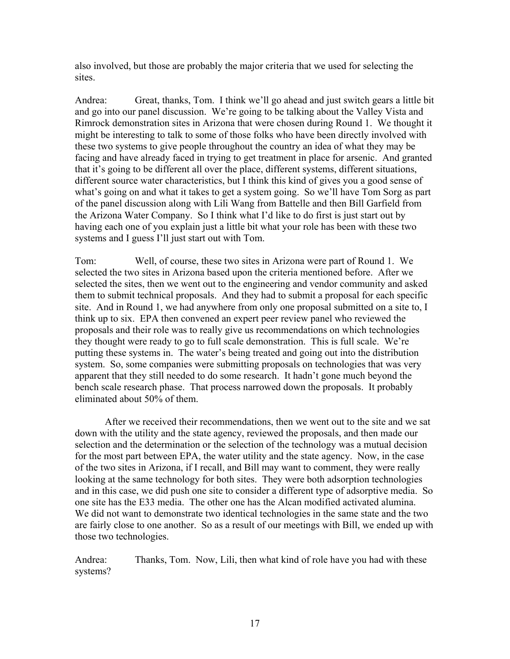also involved, but those are probably the major criteria that we used for selecting the sites.

Andrea: Great, thanks, Tom. I think we'll go ahead and just switch gears a little bit and go into our panel discussion. We're going to be talking about the Valley Vista and Rimrock demonstration sites in Arizona that were chosen during Round 1. We thought it might be interesting to talk to some of those folks who have been directly involved with these two systems to give people throughout the country an idea of what they may be facing and have already faced in trying to get treatment in place for arsenic. And granted that it's going to be different all over the place, different systems, different situations, different source water characteristics, but I think this kind of gives you a good sense of what's going on and what it takes to get a system going. So we'll have Tom Sorg as part of the panel discussion along with Lili Wang from Battelle and then Bill Garfield from the Arizona Water Company. So I think what I'd like to do first is just start out by having each one of you explain just a little bit what your role has been with these two systems and I guess I'll just start out with Tom.

Tom: Well, of course, these two sites in Arizona were part of Round 1. We selected the two sites in Arizona based upon the criteria mentioned before. After we selected the sites, then we went out to the engineering and vendor community and asked them to submit technical proposals. And they had to submit a proposal for each specific site. And in Round 1, we had anywhere from only one proposal submitted on a site to, I think up to six. EPA then convened an expert peer review panel who reviewed the proposals and their role was to really give us recommendations on which technologies they thought were ready to go to full scale demonstration. This is full scale. We're putting these systems in. The water's being treated and going out into the distribution system. So, some companies were submitting proposals on technologies that was very apparent that they still needed to do some research. It hadn't gone much beyond the bench scale research phase. That process narrowed down the proposals. It probably eliminated about 50% of them.

After we received their recommendations, then we went out to the site and we sat down with the utility and the state agency, reviewed the proposals, and then made our selection and the determination or the selection of the technology was a mutual decision for the most part between EPA, the water utility and the state agency. Now, in the case of the two sites in Arizona, if I recall, and Bill may want to comment, they were really looking at the same technology for both sites. They were both adsorption technologies and in this case, we did push one site to consider a different type of adsorptive media. So one site has the E33 media. The other one has the Alcan modified activated alumina. We did not want to demonstrate two identical technologies in the same state and the two are fairly close to one another. So as a result of our meetings with Bill, we ended up with those two technologies.

Andrea: Thanks, Tom. Now, Lili, then what kind of role have you had with these systems?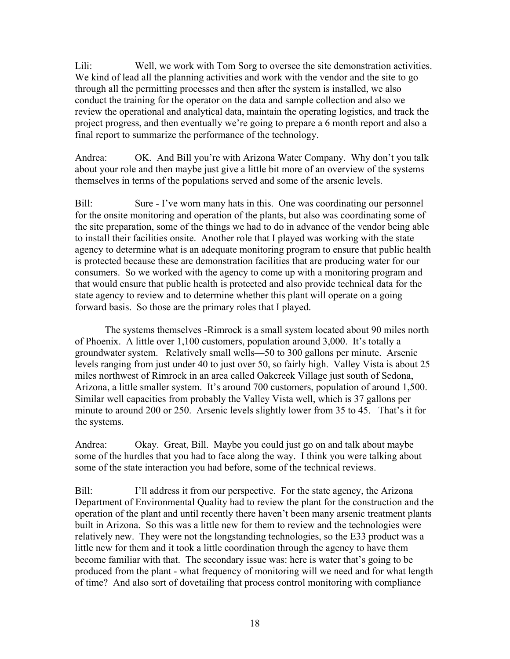Lili: Well, we work with Tom Sorg to oversee the site demonstration activities. We kind of lead all the planning activities and work with the vendor and the site to go through all the permitting processes and then after the system is installed, we also conduct the training for the operator on the data and sample collection and also we review the operational and analytical data, maintain the operating logistics, and track the project progress, and then eventually we're going to prepare a 6 month report and also a final report to summarize the performance of the technology.

Andrea: OK. And Bill you're with Arizona Water Company. Why don't you talk about your role and then maybe just give a little bit more of an overview of the systems themselves in terms of the populations served and some of the arsenic levels.

Bill: Sure - I've worn many hats in this. One was coordinating our personnel for the onsite monitoring and operation of the plants, but also was coordinating some of the site preparation, some of the things we had to do in advance of the vendor being able to install their facilities onsite. Another role that I played was working with the state agency to determine what is an adequate monitoring program to ensure that public health is protected because these are demonstration facilities that are producing water for our consumers. So we worked with the agency to come up with a monitoring program and that would ensure that public health is protected and also provide technical data for the state agency to review and to determine whether this plant will operate on a going forward basis. So those are the primary roles that I played.

The systems themselves -Rimrock is a small system located about 90 miles north of Phoenix. A little over 1,100 customers, population around 3,000. It's totally a groundwater system. Relatively small wells—50 to 300 gallons per minute. Arsenic levels ranging from just under 40 to just over 50, so fairly high. Valley Vista is about 25 miles northwest of Rimrock in an area called Oakcreek Village just south of Sedona, Arizona, a little smaller system. It's around 700 customers, population of around 1,500. Similar well capacities from probably the Valley Vista well, which is 37 gallons per minute to around 200 or 250. Arsenic levels slightly lower from 35 to 45. That's it for the systems.

Andrea: Okay. Great, Bill. Maybe you could just go on and talk about maybe some of the hurdles that you had to face along the way. I think you were talking about some of the state interaction you had before, some of the technical reviews.

Bill: I'll address it from our perspective. For the state agency, the Arizona Department of Environmental Quality had to review the plant for the construction and the operation of the plant and until recently there haven't been many arsenic treatment plants built in Arizona. So this was a little new for them to review and the technologies were relatively new. They were not the longstanding technologies, so the E33 product was a little new for them and it took a little coordination through the agency to have them become familiar with that. The secondary issue was: here is water that's going to be produced from the plant - what frequency of monitoring will we need and for what length of time? And also sort of dovetailing that process control monitoring with compliance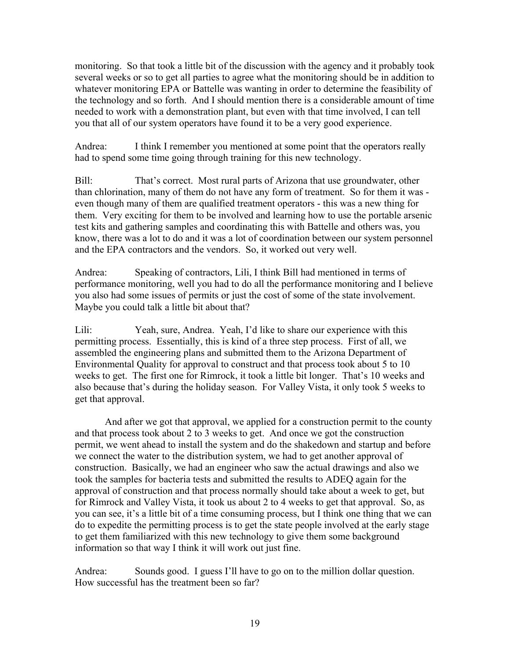monitoring. So that took a little bit of the discussion with the agency and it probably took several weeks or so to get all parties to agree what the monitoring should be in addition to whatever monitoring EPA or Battelle was wanting in order to determine the feasibility of the technology and so forth. And I should mention there is a considerable amount of time needed to work with a demonstration plant, but even with that time involved, I can tell you that all of our system operators have found it to be a very good experience.

Andrea: I think I remember you mentioned at some point that the operators really had to spend some time going through training for this new technology.

Bill: That's correct. Most rural parts of Arizona that use groundwater, other than chlorination, many of them do not have any form of treatment. So for them it was even though many of them are qualified treatment operators - this was a new thing for them. Very exciting for them to be involved and learning how to use the portable arsenic test kits and gathering samples and coordinating this with Battelle and others was, you know, there was a lot to do and it was a lot of coordination between our system personnel and the EPA contractors and the vendors. So, it worked out very well.

Andrea: Speaking of contractors, Lili, I think Bill had mentioned in terms of performance monitoring, well you had to do all the performance monitoring and I believe you also had some issues of permits or just the cost of some of the state involvement. Maybe you could talk a little bit about that?

Lili: Yeah, sure, Andrea. Yeah, I'd like to share our experience with this permitting process. Essentially, this is kind of a three step process. First of all, we assembled the engineering plans and submitted them to the Arizona Department of Environmental Quality for approval to construct and that process took about 5 to 10 weeks to get. The first one for Rimrock, it took a little bit longer. That's 10 weeks and also because that's during the holiday season. For Valley Vista, it only took 5 weeks to get that approval.

And after we got that approval, we applied for a construction permit to the county and that process took about 2 to 3 weeks to get. And once we got the construction permit, we went ahead to install the system and do the shakedown and startup and before we connect the water to the distribution system, we had to get another approval of construction. Basically, we had an engineer who saw the actual drawings and also we took the samples for bacteria tests and submitted the results to ADEQ again for the approval of construction and that process normally should take about a week to get, but for Rimrock and Valley Vista, it took us about 2 to 4 weeks to get that approval. So, as you can see, it's a little bit of a time consuming process, but I think one thing that we can do to expedite the permitting process is to get the state people involved at the early stage to get them familiarized with this new technology to give them some background information so that way I think it will work out just fine.

Andrea: Sounds good. I guess I'll have to go on to the million dollar question. How successful has the treatment been so far?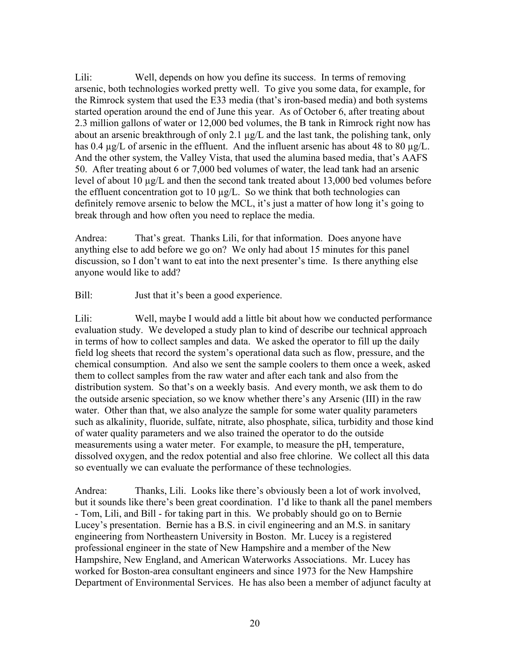Lili: Well, depends on how you define its success. In terms of removing arsenic, both technologies worked pretty well. To give you some data, for example, for the Rimrock system that used the E33 media (that's iron-based media) and both systems started operation around the end of June this year. As of October 6, after treating about 2.3 million gallons of water or 12,000 bed volumes, the B tank in Rimrock right now has about an arsenic breakthrough of only 2.1 µg/L and the last tank, the polishing tank, only has 0.4  $\mu$ g/L of arsenic in the effluent. And the influent arsenic has about 48 to 80  $\mu$ g/L. And the other system, the Valley Vista, that used the alumina based media, that's AAFS 50. After treating about 6 or 7,000 bed volumes of water, the lead tank had an arsenic level of about 10  $\mu$ g/L and then the second tank treated about 13,000 bed volumes before the effluent concentration got to  $10 \mu g/L$ . So we think that both technologies can definitely remove arsenic to below the MCL, it's just a matter of how long it's going to break through and how often you need to replace the media.

Andrea: That's great. Thanks Lili, for that information. Does anyone have anything else to add before we go on? We only had about 15 minutes for this panel discussion, so I don't want to eat into the next presenter's time. Is there anything else anyone would like to add?

Bill: Just that it's been a good experience.

Lili: Well, maybe I would add a little bit about how we conducted performance evaluation study. We developed a study plan to kind of describe our technical approach in terms of how to collect samples and data. We asked the operator to fill up the daily field log sheets that record the system's operational data such as flow, pressure, and the chemical consumption. And also we sent the sample coolers to them once a week, asked them to collect samples from the raw water and after each tank and also from the distribution system. So that's on a weekly basis. And every month, we ask them to do the outside arsenic speciation, so we know whether there's any Arsenic (III) in the raw water. Other than that, we also analyze the sample for some water quality parameters such as alkalinity, fluoride, sulfate, nitrate, also phosphate, silica, turbidity and those kind of water quality parameters and we also trained the operator to do the outside measurements using a water meter. For example, to measure the pH, temperature, dissolved oxygen, and the redox potential and also free chlorine. We collect all this data so eventually we can evaluate the performance of these technologies.

Andrea: Thanks, Lili. Looks like there's obviously been a lot of work involved, but it sounds like there's been great coordination. I'd like to thank all the panel members - Tom, Lili, and Bill - for taking part in this. We probably should go on to Bernie Lucey's presentation. Bernie has a B.S. in civil engineering and an M.S. in sanitary engineering from Northeastern University in Boston. Mr. Lucey is a registered professional engineer in the state of New Hampshire and a member of the New Hampshire, New England, and American Waterworks Associations. Mr. Lucey has worked for Boston-area consultant engineers and since 1973 for the New Hampshire Department of Environmental Services. He has also been a member of adjunct faculty at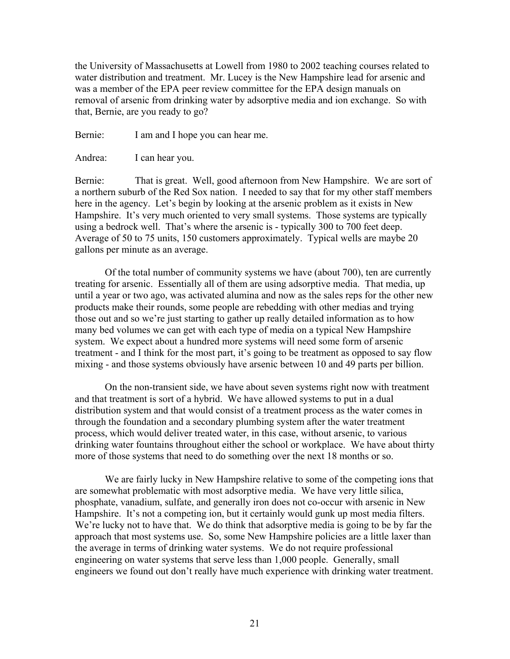the University of Massachusetts at Lowell from 1980 to 2002 teaching courses related to water distribution and treatment. Mr. Lucey is the New Hampshire lead for arsenic and was a member of the EPA peer review committee for the EPA design manuals on removal of arsenic from drinking water by adsorptive media and ion exchange. So with that, Bernie, are you ready to go?

Bernie: I am and I hope you can hear me.

Andrea: I can hear you.

Bernie: That is great. Well, good afternoon from New Hampshire. We are sort of a northern suburb of the Red Sox nation. I needed to say that for my other staff members here in the agency. Let's begin by looking at the arsenic problem as it exists in New Hampshire. It's very much oriented to very small systems. Those systems are typically using a bedrock well. That's where the arsenic is - typically 300 to 700 feet deep. Average of 50 to 75 units, 150 customers approximately. Typical wells are maybe 20 gallons per minute as an average.

Of the total number of community systems we have (about 700), ten are currently treating for arsenic. Essentially all of them are using adsorptive media. That media, up until a year or two ago, was activated alumina and now as the sales reps for the other new products make their rounds, some people are rebedding with other medias and trying those out and so we're just starting to gather up really detailed information as to how many bed volumes we can get with each type of media on a typical New Hampshire system. We expect about a hundred more systems will need some form of arsenic treatment - and I think for the most part, it's going to be treatment as opposed to say flow mixing - and those systems obviously have arsenic between 10 and 49 parts per billion.

On the non-transient side, we have about seven systems right now with treatment and that treatment is sort of a hybrid. We have allowed systems to put in a dual distribution system and that would consist of a treatment process as the water comes in through the foundation and a secondary plumbing system after the water treatment process, which would deliver treated water, in this case, without arsenic, to various drinking water fountains throughout either the school or workplace. We have about thirty more of those systems that need to do something over the next 18 months or so.

We are fairly lucky in New Hampshire relative to some of the competing ions that are somewhat problematic with most adsorptive media. We have very little silica, phosphate, vanadium, sulfate, and generally iron does not co-occur with arsenic in New Hampshire. It's not a competing ion, but it certainly would gunk up most media filters. We're lucky not to have that. We do think that adsorptive media is going to be by far the approach that most systems use. So, some New Hampshire policies are a little laxer than the average in terms of drinking water systems. We do not require professional engineering on water systems that serve less than 1,000 people. Generally, small engineers we found out don't really have much experience with drinking water treatment.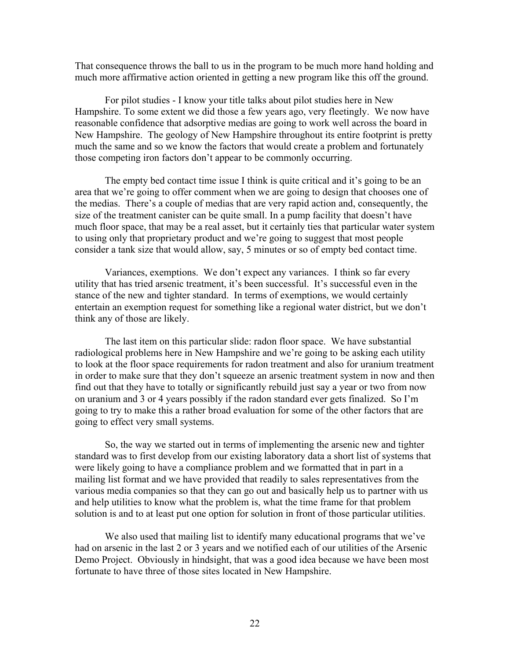That consequence throws the ball to us in the program to be much more hand holding and much more affirmative action oriented in getting a new program like this off the ground.

For pilot studies - I know your title talks about pilot studies here in New Hampshire. To some extent we did those a few years ago, very fleetingly. We now have reasonable confidence that adsorptive medias are going to work well across the board in New Hampshire. The geology of New Hampshire throughout its entire footprint is pretty much the same and so we know the factors that would create a problem and fortunately those competing iron factors don't appear to be commonly occurring.

The empty bed contact time issue I think is quite critical and it's going to be an area that we're going to offer comment when we are going to design that chooses one of the medias. There's a couple of medias that are very rapid action and, consequently, the size of the treatment canister can be quite small. In a pump facility that doesn't have much floor space, that may be a real asset, but it certainly ties that particular water system to using only that proprietary product and we're going to suggest that most people consider a tank size that would allow, say, 5 minutes or so of empty bed contact time.

Variances, exemptions. We don't expect any variances. I think so far every utility that has tried arsenic treatment, it's been successful. It's successful even in the stance of the new and tighter standard. In terms of exemptions, we would certainly entertain an exemption request for something like a regional water district, but we don't think any of those are likely.

The last item on this particular slide: radon floor space. We have substantial radiological problems here in New Hampshire and we're going to be asking each utility to look at the floor space requirements for radon treatment and also for uranium treatment in order to make sure that they don't squeeze an arsenic treatment system in now and then find out that they have to totally or significantly rebuild just say a year or two from now on uranium and 3 or 4 years possibly if the radon standard ever gets finalized. So I'm going to try to make this a rather broad evaluation for some of the other factors that are going to effect very small systems.

So, the way we started out in terms of implementing the arsenic new and tighter standard was to first develop from our existing laboratory data a short list of systems that were likely going to have a compliance problem and we formatted that in part in a mailing list format and we have provided that readily to sales representatives from the various media companies so that they can go out and basically help us to partner with us and help utilities to know what the problem is, what the time frame for that problem solution is and to at least put one option for solution in front of those particular utilities.

We also used that mailing list to identify many educational programs that we've had on arsenic in the last 2 or 3 years and we notified each of our utilities of the Arsenic Demo Project. Obviously in hindsight, that was a good idea because we have been most fortunate to have three of those sites located in New Hampshire.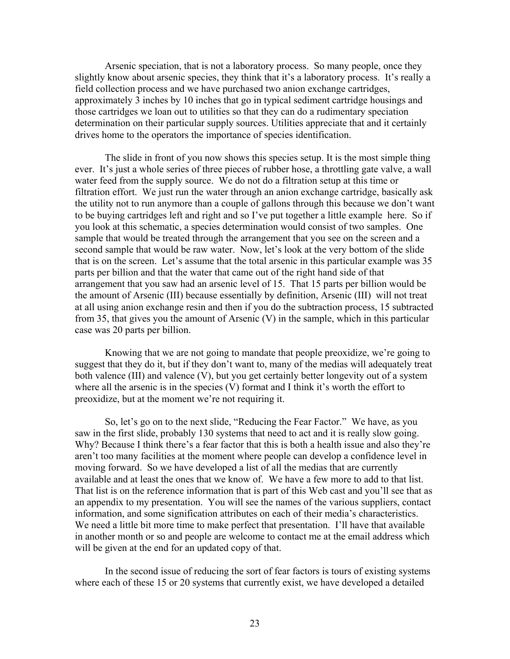Arsenic speciation, that is not a laboratory process. So many people, once they slightly know about arsenic species, they think that it's a laboratory process. It's really a field collection process and we have purchased two anion exchange cartridges, approximately 3 inches by 10 inches that go in typical sediment cartridge housings and those cartridges we loan out to utilities so that they can do a rudimentary speciation determination on their particular supply sources. Utilities appreciate that and it certainly drives home to the operators the importance of species identification.

The slide in front of you now shows this species setup. It is the most simple thing ever. It's just a whole series of three pieces of rubber hose, a throttling gate valve, a wall water feed from the supply source. We do not do a filtration setup at this time or filtration effort. We just run the water through an anion exchange cartridge, basically ask the utility not to run anymore than a couple of gallons through this because we don't want to be buying cartridges left and right and so I've put together a little example here. So if you look at this schematic, a species determination would consist of two samples. One sample that would be treated through the arrangement that you see on the screen and a second sample that would be raw water. Now, let's look at the very bottom of the slide that is on the screen. Let's assume that the total arsenic in this particular example was 35 parts per billion and that the water that came out of the right hand side of that arrangement that you saw had an arsenic level of 15. That 15 parts per billion would be the amount of Arsenic (III) because essentially by definition, Arsenic (III) will not treat at all using anion exchange resin and then if you do the subtraction process, 15 subtracted from 35, that gives you the amount of Arsenic (V) in the sample, which in this particular case was 20 parts per billion.

Knowing that we are not going to mandate that people preoxidize, we're going to suggest that they do it, but if they don't want to, many of the medias will adequately treat both valence (III) and valence (V), but you get certainly better longevity out of a system where all the arsenic is in the species (V) format and I think it's worth the effort to preoxidize, but at the moment we're not requiring it.

So, let's go on to the next slide, "Reducing the Fear Factor." We have, as you saw in the first slide, probably 130 systems that need to act and it is really slow going. Why? Because I think there's a fear factor that this is both a health issue and also they're aren't too many facilities at the moment where people can develop a confidence level in moving forward. So we have developed a list of all the medias that are currently available and at least the ones that we know of. We have a few more to add to that list. That list is on the reference information that is part of this Web cast and you'll see that as an appendix to my presentation. You will see the names of the various suppliers, contact information, and some signification attributes on each of their media's characteristics. We need a little bit more time to make perfect that presentation. I'll have that available in another month or so and people are welcome to contact me at the email address which will be given at the end for an updated copy of that.

In the second issue of reducing the sort of fear factors is tours of existing systems where each of these 15 or 20 systems that currently exist, we have developed a detailed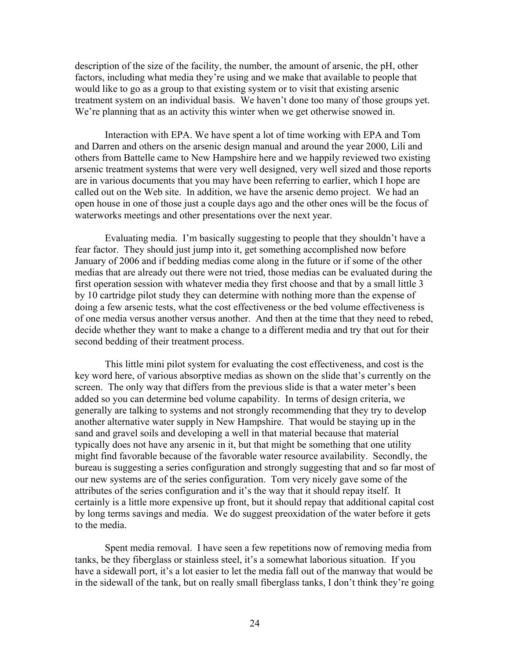description of the size of the facility, the number, the amount of arsenic, the pH, other factors, including what media they're using and we make that available to people that would like to go as a group to that existing system or to visit that existing arsenic treatment system on an individual basis. We haven't done too many of those groups yet. We're planning that as an activity this winter when we get otherwise snowed in.

Interaction with EPA. We have spent a lot of time working with EPA and Tom and Darren and others on the arsenic design manual and around the year 2000, Lili and others from Battelle came to New Hampshire here and we happily reviewed two existing arsenic treatment systems that were very well designed, very well sized and those reports are in various documents that you may have been referring to earlier, which I hope are called out on the Web site. In addition, we have the arsenic demo project. We had an open house in one of those just a couple days ago and the other ones will be the focus of waterworks meetings and other presentations over the next year.

Evaluating media. I'm basically suggesting to people that they shouldn't have a fear factor. They should just jump into it, get something accomplished now before January of 2006 and if bedding medias come along in the future or if some of the other medias that are already out there were not tried, those medias can be evaluated during the first operation session with whatever media they first choose and that by a small little 3 by 10 cartridge pilot study they can determine with nothing more than the expense of doing a few arsenic tests, what the cost effectiveness or the bed volume effectiveness is of one media versus another versus another. And then at the time that they need to rebed, decide whether they want to make a change to a different media and try that out for their second bedding of their treatment process.

This little mini pilot system for evaluating the cost effectiveness, and cost is the key word here, of various absorptive medias as shown on the slide that's currently on the screen. The only way that differs from the previous slide is that a water meter's been added so you can determine bed volume capability. In terms of design criteria, we generally are talking to systems and not strongly recommending that they try to develop another alternative water supply in New Hampshire. That would be staying up in the sand and gravel soils and developing a well in that material because that material typically does not have any arsenic in it, but that might be something that one utility might find favorable because of the favorable water resource availability. Secondly, the bureau is suggesting a series configuration and strongly suggesting that and so far most of our new systems are of the series configuration. Tom very nicely gave some of the attributes of the series configuration and it's the way that it should repay itself. It certainly is a little more expensive up front, but it should repay that additional capital cost by long terms savings and media. We do suggest preoxidation of the water before it gets to the media.

Spent media removal. I have seen a few repetitions now of removing media from tanks, be they fiberglass or stainless steel, it's a somewhat laborious situation. If you have a sidewall port, it's a lot easier to let the media fall out of the manway that would be in the sidewall of the tank, but on really small fiberglass tanks, I don't think they're going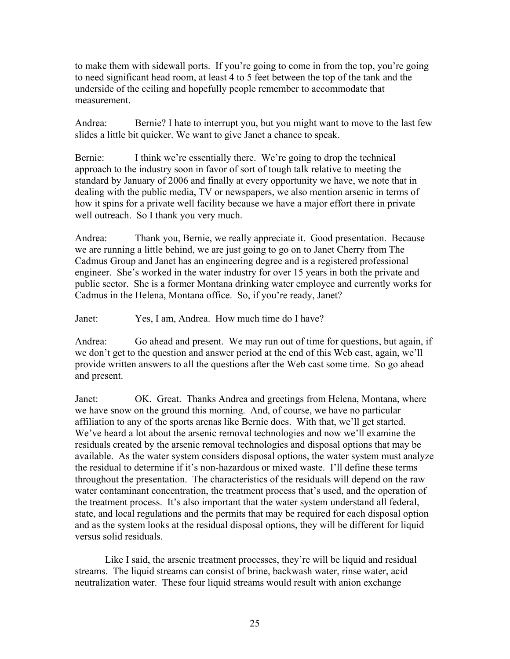to make them with sidewall ports. If you're going to come in from the top, you're going to need significant head room, at least 4 to 5 feet between the top of the tank and the underside of the ceiling and hopefully people remember to accommodate that measurement.

Andrea: Bernie? I hate to interrupt you, but you might want to move to the last few slides a little bit quicker. We want to give Janet a chance to speak.

Bernie: I think we're essentially there. We're going to drop the technical approach to the industry soon in favor of sort of tough talk relative to meeting the standard by January of 2006 and finally at every opportunity we have, we note that in dealing with the public media, TV or newspapers, we also mention arsenic in terms of how it spins for a private well facility because we have a major effort there in private well outreach. So I thank you very much.

Andrea: Thank you, Bernie, we really appreciate it. Good presentation. Because we are running a little behind, we are just going to go on to Janet Cherry from The Cadmus Group and Janet has an engineering degree and is a registered professional engineer. She's worked in the water industry for over 15 years in both the private and public sector. She is a former Montana drinking water employee and currently works for Cadmus in the Helena, Montana office. So, if you're ready, Janet?

Janet: Yes, I am, Andrea. How much time do I have?

Andrea: Go ahead and present. We may run out of time for questions, but again, if we don't get to the question and answer period at the end of this Web cast, again, we'll provide written answers to all the questions after the Web cast some time. So go ahead and present.

Janet: OK. Great. Thanks Andrea and greetings from Helena, Montana, where we have snow on the ground this morning. And, of course, we have no particular affiliation to any of the sports arenas like Bernie does. With that, we'll get started. We've heard a lot about the arsenic removal technologies and now we'll examine the residuals created by the arsenic removal technologies and disposal options that may be available. As the water system considers disposal options, the water system must analyze the residual to determine if it's non-hazardous or mixed waste. I'll define these terms throughout the presentation. The characteristics of the residuals will depend on the raw water contaminant concentration, the treatment process that's used, and the operation of the treatment process. It's also important that the water system understand all federal, state, and local regulations and the permits that may be required for each disposal option and as the system looks at the residual disposal options, they will be different for liquid versus solid residuals.

Like I said, the arsenic treatment processes, they're will be liquid and residual streams. The liquid streams can consist of brine, backwash water, rinse water, acid neutralization water. These four liquid streams would result with anion exchange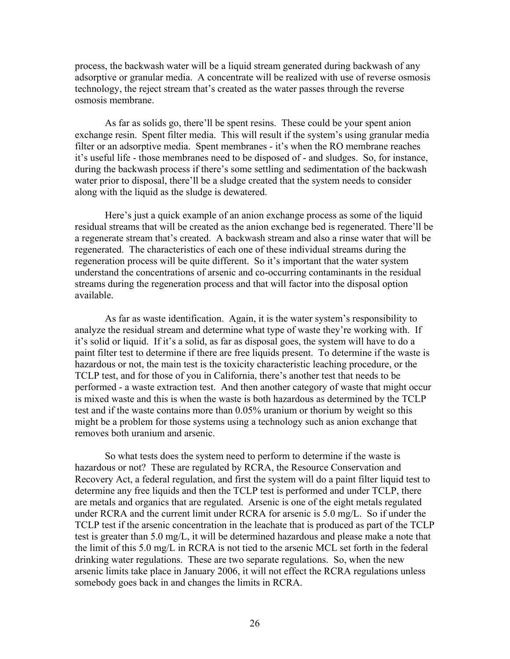process, the backwash water will be a liquid stream generated during backwash of any adsorptive or granular media. A concentrate will be realized with use of reverse osmosis technology, the reject stream that's created as the water passes through the reverse osmosis membrane.

As far as solids go, there'll be spent resins. These could be your spent anion exchange resin. Spent filter media. This will result if the system's using granular media filter or an adsorptive media. Spent membranes - it's when the RO membrane reaches it's useful life - those membranes need to be disposed of - and sludges. So, for instance, during the backwash process if there's some settling and sedimentation of the backwash water prior to disposal, there'll be a sludge created that the system needs to consider along with the liquid as the sludge is dewatered.

Here's just a quick example of an anion exchange process as some of the liquid residual streams that will be created as the anion exchange bed is regenerated. There'll be a regenerate stream that's created. A backwash stream and also a rinse water that will be regenerated. The characteristics of each one of these individual streams during the regeneration process will be quite different. So it's important that the water system understand the concentrations of arsenic and co-occurring contaminants in the residual streams during the regeneration process and that will factor into the disposal option available.

As far as waste identification. Again, it is the water system's responsibility to analyze the residual stream and determine what type of waste they're working with. If it's solid or liquid. If it's a solid, as far as disposal goes, the system will have to do a paint filter test to determine if there are free liquids present. To determine if the waste is hazardous or not, the main test is the toxicity characteristic leaching procedure, or the TCLP test, and for those of you in California, there's another test that needs to be performed - a waste extraction test. And then another category of waste that might occur is mixed waste and this is when the waste is both hazardous as determined by the TCLP test and if the waste contains more than 0.05% uranium or thorium by weight so this might be a problem for those systems using a technology such as anion exchange that removes both uranium and arsenic.

So what tests does the system need to perform to determine if the waste is hazardous or not? These are regulated by RCRA, the Resource Conservation and Recovery Act, a federal regulation, and first the system will do a paint filter liquid test to determine any free liquids and then the TCLP test is performed and under TCLP, there are metals and organics that are regulated. Arsenic is one of the eight metals regulated under RCRA and the current limit under RCRA for arsenic is 5.0 mg/L. So if under the TCLP test if the arsenic concentration in the leachate that is produced as part of the TCLP test is greater than 5.0 mg/L, it will be determined hazardous and please make a note that the limit of this 5.0 mg/L in RCRA is not tied to the arsenic MCL set forth in the federal drinking water regulations. These are two separate regulations. So, when the new arsenic limits take place in January 2006, it will not effect the RCRA regulations unless somebody goes back in and changes the limits in RCRA.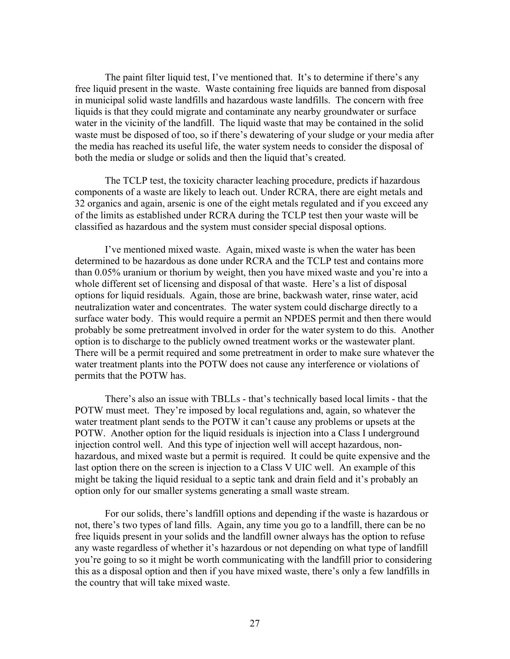The paint filter liquid test, I've mentioned that. It's to determine if there's any free liquid present in the waste. Waste containing free liquids are banned from disposal in municipal solid waste landfills and hazardous waste landfills. The concern with free liquids is that they could migrate and contaminate any nearby groundwater or surface water in the vicinity of the landfill. The liquid waste that may be contained in the solid waste must be disposed of too, so if there's dewatering of your sludge or your media after the media has reached its useful life, the water system needs to consider the disposal of both the media or sludge or solids and then the liquid that's created.

The TCLP test, the toxicity character leaching procedure, predicts if hazardous components of a waste are likely to leach out. Under RCRA, there are eight metals and 32 organics and again, arsenic is one of the eight metals regulated and if you exceed any of the limits as established under RCRA during the TCLP test then your waste will be classified as hazardous and the system must consider special disposal options.

I've mentioned mixed waste. Again, mixed waste is when the water has been determined to be hazardous as done under RCRA and the TCLP test and contains more than 0.05% uranium or thorium by weight, then you have mixed waste and you're into a whole different set of licensing and disposal of that waste. Here's a list of disposal options for liquid residuals. Again, those are brine, backwash water, rinse water, acid neutralization water and concentrates. The water system could discharge directly to a surface water body. This would require a permit an NPDES permit and then there would probably be some pretreatment involved in order for the water system to do this. Another option is to discharge to the publicly owned treatment works or the wastewater plant. There will be a permit required and some pretreatment in order to make sure whatever the water treatment plants into the POTW does not cause any interference or violations of permits that the POTW has.

There's also an issue with TBLLs - that's technically based local limits - that the POTW must meet. They're imposed by local regulations and, again, so whatever the water treatment plant sends to the POTW it can't cause any problems or upsets at the POTW. Another option for the liquid residuals is injection into a Class I underground injection control well. And this type of injection well will accept hazardous, nonhazardous, and mixed waste but a permit is required. It could be quite expensive and the last option there on the screen is injection to a Class V UIC well. An example of this might be taking the liquid residual to a septic tank and drain field and it's probably an option only for our smaller systems generating a small waste stream.

For our solids, there's landfill options and depending if the waste is hazardous or not, there's two types of land fills. Again, any time you go to a landfill, there can be no free liquids present in your solids and the landfill owner always has the option to refuse any waste regardless of whether it's hazardous or not depending on what type of landfill you're going to so it might be worth communicating with the landfill prior to considering this as a disposal option and then if you have mixed waste, there's only a few landfills in the country that will take mixed waste.